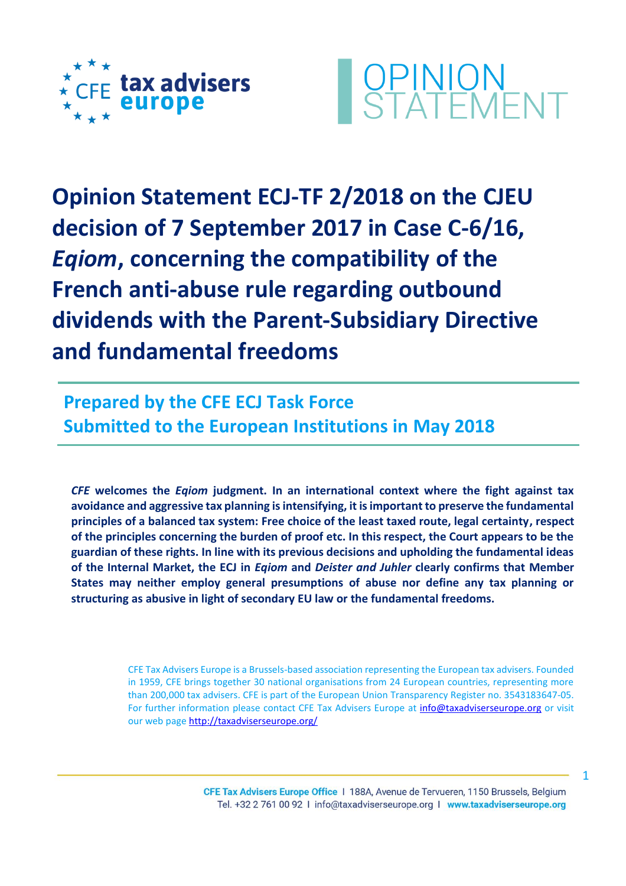



**Opinion Statement ECJ-TF 2/2018 on the CJEU decision of 7 September 2017 in Case C-6/16,**  *Eqiom***, concerning the compatibility of the French anti-abuse rule regarding outbound dividends with the Parent-Subsidiary Directive and fundamental freedoms**

**Prepared by the CFE ECJ Task Force Submitted to the European Institutions in May 2018**

*CFE* **welcomes the** *Eqiom* **judgment. In an international context where the fight against tax avoidance and aggressive tax planning is intensifying, it is important to preserve the fundamental principles of a balanced tax system: Free choice of the least taxed route, legal certainty, respect of the principles concerning the burden of proof etc. In this respect, the Court appears to be the guardian of these rights. In line with its previous decisions and upholding the fundamental ideas of the Internal Market, the ECJ in** *Eqiom* **and** *Deister and Juhler* **clearly confirms that Member States may neither employ general presumptions of abuse nor define any tax planning or structuring as abusive in light of secondary EU law or the fundamental freedoms.** 

> CFE Tax Advisers Europe is a Brussels-based association representing the European tax advisers. Founded in 1959, CFE brings together 30 national organisations from 24 European countries, representing more than 200,000 tax advisers. CFE is part of the European Union Transparency Register no. 3543183647‐05. For further information please contact CFE Tax Advisers Europe at [info@taxadviserseurope.org](mailto:info@taxadviserseurope.org) or visit our web pag[e http://taxadviserseurope.org/](http://taxadviserseurope.org/)

> > CFE Tax Advisers Europe Office | 188A, Avenue de Tervueren, 1150 Brussels, Belgium Tel. +32 2 761 00 92 | info@taxadviserseurope.org | www.taxadviserseurope.org

1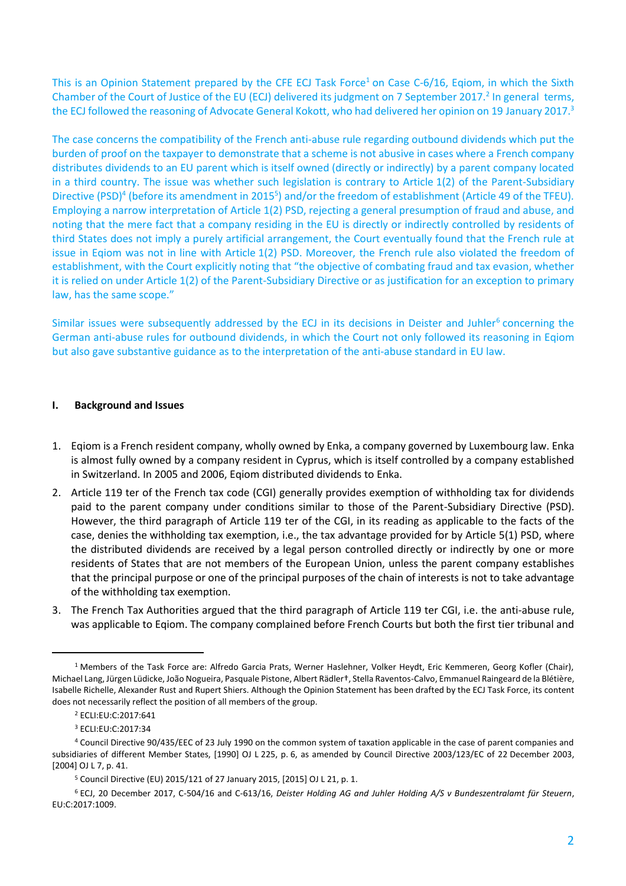This is an Opinion Statement prepared by the CFE ECJ Task Force<sup>1</sup> on Case C-6/16, Eqiom, in which the Sixth Chamber of the Court of Justice of the EU (ECJ) delivered its judgment on 7 September 2017.<sup>2</sup> In general terms, the ECJ followed the reasoning of Advocate General Kokott, who had delivered her opinion on 19 January 2017.<sup>3</sup>

The case concerns the compatibility of the French anti-abuse rule regarding outbound dividends which put the burden of proof on the taxpayer to demonstrate that a scheme is not abusive in cases where a French company distributes dividends to an EU parent which is itself owned (directly or indirectly) by a parent company located in a third country. The issue was whether such legislation is contrary to Article 1(2) of the Parent-Subsidiary Directive (PSD)<sup>4</sup> (before its amendment in 2015<sup>5</sup>) and/or the freedom of establishment (Article 49 of the TFEU). Employing a narrow interpretation of Article 1(2) PSD, rejecting a general presumption of fraud and abuse, and noting that the mere fact that a company residing in the EU is directly or indirectly controlled by residents of third States does not imply a purely artificial arrangement, the Court eventually found that the French rule at issue in Eqiom was not in line with Article 1(2) PSD. Moreover, the French rule also violated the freedom of establishment, with the Court explicitly noting that "the objective of combating fraud and tax evasion, whether it is relied on under Article 1(2) of the Parent-Subsidiary Directive or as justification for an exception to primary law, has the same scope."

Similar issues were subsequently addressed by the ECJ in its decisions in Deister and Juhler<sup>6</sup> concerning the German anti-abuse rules for outbound dividends, in which the Court not only followed its reasoning in Eqiom but also gave substantive guidance as to the interpretation of the anti-abuse standard in EU law.

# **I. Background and Issues**

- 1. Eqiom is a French resident company, wholly owned by Enka, a company governed by Luxembourg law. Enka is almost fully owned by a company resident in Cyprus, which is itself controlled by a company established in Switzerland. In 2005 and 2006, Eqiom distributed dividends to Enka.
- 2. Article 119 ter of the French tax code (CGI) generally provides exemption of withholding tax for dividends paid to the parent company under conditions similar to those of the Parent-Subsidiary Directive (PSD). However, the third paragraph of Article 119 ter of the CGI, in its reading as applicable to the facts of the case, denies the withholding tax exemption, i.e., the tax advantage provided for by Article 5(1) PSD, where the distributed dividends are received by a legal person controlled directly or indirectly by one or more residents of States that are not members of the European Union, unless the parent company establishes that the principal purpose or one of the principal purposes of the chain of interests is not to take advantage of the withholding tax exemption.
- 3. The French Tax Authorities argued that the third paragraph of Article 119 ter CGI, i.e. the anti-abuse rule, was applicable to Eqiom. The company complained before French Courts but both the first tier tribunal and

<sup>&</sup>lt;sup>1</sup> Members of the Task Force are: Alfredo Garcia Prats, Werner Haslehner, Volker Heydt, Eric Kemmeren, Georg Kofler (Chair), Michael Lang, Jürgen Lüdicke, João Nogueira, Pasquale Pistone, Albert Rädler†, Stella Raventos-Calvo, Emmanuel Raingeard de la Blétière, Isabelle Richelle, Alexander Rust and Rupert Shiers. Although the Opinion Statement has been drafted by the ECJ Task Force, its content does not necessarily reflect the position of all members of the group.

<sup>2</sup> ECLI:EU:C:2017:641

<sup>3</sup> ECLI:EU:C:2017:34

<sup>4</sup> Council Directive 90/435/EEC of 23 July 1990 on the common system of taxation applicable in the case of parent companies and subsidiaries of different Member States, [1990] OJ L 225, p. 6, as amended by Council Directive 2003/123/EC of 22 December 2003, [2004] OJ L 7, p. 41.

<sup>5</sup> Council Directive (EU) 2015/121 of 27 January 2015, [2015] OJ L 21, p. 1.

<sup>6</sup> ECJ, 20 December 2017, C-504/16 and C-613/16, *Deister Holding AG and Juhler Holding A/S v Bundeszentralamt für Steuern*, EU:C:2017:1009.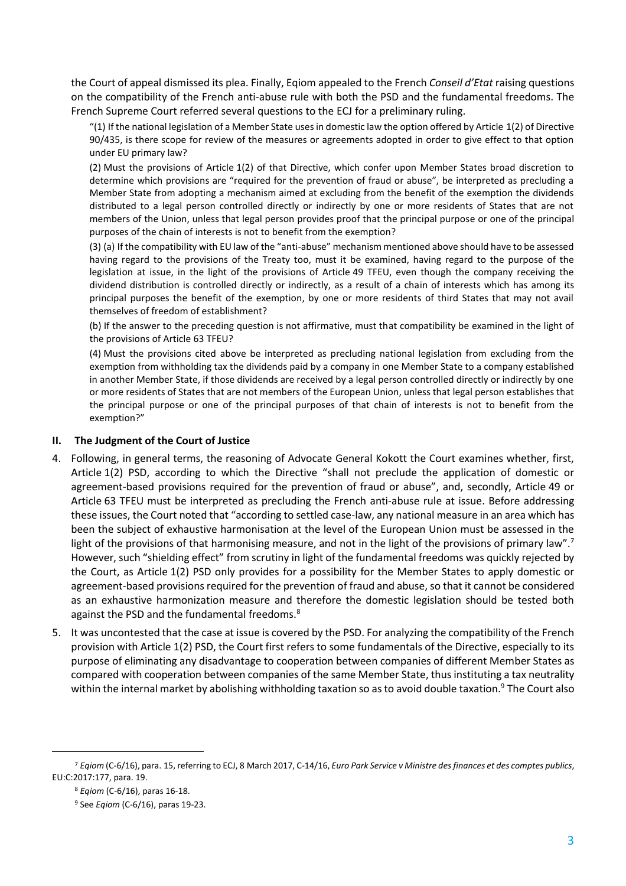the Court of appeal dismissed its plea. Finally, Eqiom appealed to the French *Conseil d'Etat* raising questions on the compatibility of the French anti-abuse rule with both the PSD and the fundamental freedoms. The French Supreme Court referred several questions to the ECJ for a preliminary ruling.

"(1) If the national legislation of a Member State uses in domestic law the option offered by Article 1(2) of Directive 90/435, is there scope for review of the measures or agreements adopted in order to give effect to that option under EU primary law?

(2) Must the provisions of Article 1(2) of that Directive, which confer upon Member States broad discretion to determine which provisions are "required for the prevention of fraud or abuse", be interpreted as precluding a Member State from adopting a mechanism aimed at excluding from the benefit of the exemption the dividends distributed to a legal person controlled directly or indirectly by one or more residents of States that are not members of the Union, unless that legal person provides proof that the principal purpose or one of the principal purposes of the chain of interests is not to benefit from the exemption?

(3) (a) If the compatibility with EU law of the "anti-abuse" mechanism mentioned above should have to be assessed having regard to the provisions of the Treaty too, must it be examined, having regard to the purpose of the legislation at issue, in the light of the provisions of Article 49 TFEU, even though the company receiving the dividend distribution is controlled directly or indirectly, as a result of a chain of interests which has among its principal purposes the benefit of the exemption, by one or more residents of third States that may not avail themselves of freedom of establishment?

(b) If the answer to the preceding question is not affirmative, must that compatibility be examined in the light of the provisions of Article 63 TFEU?

(4) Must the provisions cited above be interpreted as precluding national legislation from excluding from the exemption from withholding tax the dividends paid by a company in one Member State to a company established in another Member State, if those dividends are received by a legal person controlled directly or indirectly by one or more residents of States that are not members of the European Union, unless that legal person establishes that the principal purpose or one of the principal purposes of that chain of interests is not to benefit from the exemption?"

# **II. The Judgment of the Court of Justice**

- 4. Following, in general terms, the reasoning of Advocate General Kokott the Court examines whether, first, Article 1(2) PSD, according to which the Directive "shall not preclude the application of domestic or agreement-based provisions required for the prevention of fraud or abuse", and, secondly, Article 49 or Article 63 TFEU must be interpreted as precluding the French anti-abuse rule at issue. Before addressing these issues, the Court noted that "according to settled case-law, any national measure in an area which has been the subject of exhaustive harmonisation at the level of the European Union must be assessed in the light of the provisions of that harmonising measure, and not in the light of the provisions of primary law".<sup>7</sup> However, such "shielding effect" from scrutiny in light of the fundamental freedoms was quickly rejected by the Court, as Article 1(2) PSD only provides for a possibility for the Member States to apply domestic or agreement-based provisions required for the prevention of fraud and abuse, so that it cannot be considered as an exhaustive harmonization measure and therefore the domestic legislation should be tested both against the PSD and the fundamental freedoms.<sup>8</sup>
- 5. It was uncontested that the case at issue is covered by the PSD. For analyzing the compatibility of the French provision with Article 1(2) PSD, the Court first refers to some fundamentals of the Directive, especially to its purpose of eliminating any disadvantage to cooperation between companies of different Member States as compared with cooperation between companies of the same Member State, thus instituting a tax neutrality within the internal market by abolishing withholding taxation so as to avoid double taxation.<sup>9</sup> The Court also

 $\overline{a}$ 

<sup>7</sup> *Eqiom* (C-6/16), para. 15, referring to ECJ, 8 March 2017, C-14/16, *Euro Park Service v Ministre des finances et des comptes publics*, EU:C:2017:177, para. 19.

<sup>8</sup> *Eqiom* (C-6/16), paras 16-18.

<sup>9</sup> See *Eqiom* (C-6/16), paras 19-23.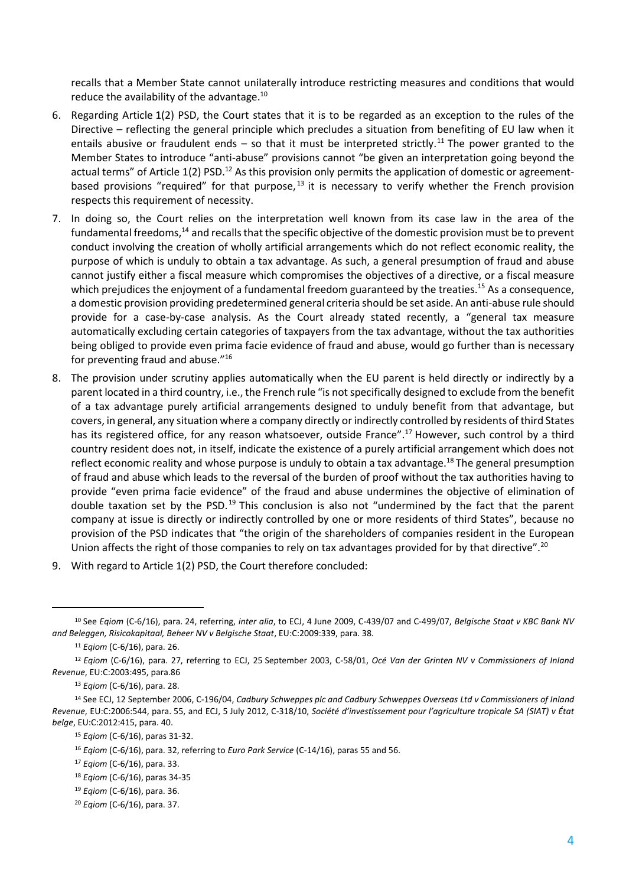recalls that a Member State cannot unilaterally introduce restricting measures and conditions that would reduce the availability of the advantage.<sup>10</sup>

- 6. Regarding Article 1(2) PSD, the Court states that it is to be regarded as an exception to the rules of the Directive – reflecting the general principle which precludes a situation from benefiting of EU law when it entails abusive or fraudulent ends – so that it must be interpreted strictly.<sup>11</sup> The power granted to the Member States to introduce "anti-abuse" provisions cannot "be given an interpretation going beyond the actual terms" of Article 1(2) PSD.<sup>12</sup> As this provision only permits the application of domestic or agreementbased provisions "required" for that purpose,  $13$  it is necessary to verify whether the French provision respects this requirement of necessity.
- 7. In doing so, the Court relies on the interpretation well known from its case law in the area of the fundamental freedoms,<sup>14</sup> and recalls that the specific objective of the domestic provision must be to prevent conduct involving the creation of wholly artificial arrangements which do not reflect economic reality, the purpose of which is unduly to obtain a tax advantage. As such, a general presumption of fraud and abuse cannot justify either a fiscal measure which compromises the objectives of a directive, or a fiscal measure which prejudices the enjoyment of a fundamental freedom guaranteed by the treaties.<sup>15</sup> As a consequence, a domestic provision providing predetermined general criteria should be set aside. An anti-abuse rule should provide for a case-by-case analysis. As the Court already stated recently, a "general tax measure automatically excluding certain categories of taxpayers from the tax advantage, without the tax authorities being obliged to provide even prima facie evidence of fraud and abuse, would go further than is necessary for preventing fraud and abuse."<sup>16</sup>
- 8. The provision under scrutiny applies automatically when the EU parent is held directly or indirectly by a parent located in a third country, i.e., the French rule "is not specifically designed to exclude from the benefit of a tax advantage purely artificial arrangements designed to unduly benefit from that advantage, but covers, in general, any situation where a company directly or indirectly controlled by residents of third States has its registered office, for any reason whatsoever, outside France".<sup>17</sup> However, such control by a third country resident does not, in itself, indicate the existence of a purely artificial arrangement which does not reflect economic reality and whose purpose is unduly to obtain a tax advantage.<sup>18</sup> The general presumption of fraud and abuse which leads to the reversal of the burden of proof without the tax authorities having to provide "even prima facie evidence" of the fraud and abuse undermines the objective of elimination of double taxation set by the PSD.<sup>19</sup> This conclusion is also not "undermined by the fact that the parent company at issue is directly or indirectly controlled by one or more residents of third States", because no provision of the PSD indicates that "the origin of the shareholders of companies resident in the European Union affects the right of those companies to rely on tax advantages provided for by that directive".<sup>20</sup>
- 9. With regard to Article 1(2) PSD, the Court therefore concluded:

<sup>10</sup> See *Eqiom* (C-6/16), para. 24, referring, *inter alia*, to ECJ, 4 June 2009, C-439/07 and C-499/07, *Belgische Staat v KBC Bank NV and Beleggen, Risicokapitaal, Beheer NV v Belgische Staat*, EU:C:2009:339, para. 38.

<sup>11</sup> *Eqiom* (C-6/16), para. 26.

<sup>12</sup> *Eqiom* (C-6/16), para. 27, referring to ECJ, 25 September 2003, C-58/01, *Océ Van der Grinten NV v Commissioners of Inland Revenue*, EU:C:2003:495, para.86

<sup>13</sup> *Eqiom* (C-6/16), para. 28.

<sup>14</sup> See ECJ, 12 September 2006, C-196/04, *Cadbury Schweppes plc and Cadbury Schweppes Overseas Ltd v Commissioners of Inland Revenue*, EU:C:2006:544, para. 55, and ECJ, 5 July 2012, C-318/10, *Société d'investissement pour l'agriculture tropicale SA (SIAT) v État belge*, EU:C:2012:415, para. 40.

<sup>15</sup> *Eqiom* (C-6/16), paras 31-32.

<sup>16</sup> *Eqiom* (C-6/16), para. 32, referring to *Euro Park Service* (C-14/16), paras 55 and 56.

<sup>17</sup> *Eqiom* (C-6/16), para. 33.

<sup>18</sup> *Eqiom* (C-6/16), paras 34-35

<sup>19</sup> *Eqiom* (C-6/16), para. 36.

<sup>20</sup> *Eqiom* (C-6/16), para. 37.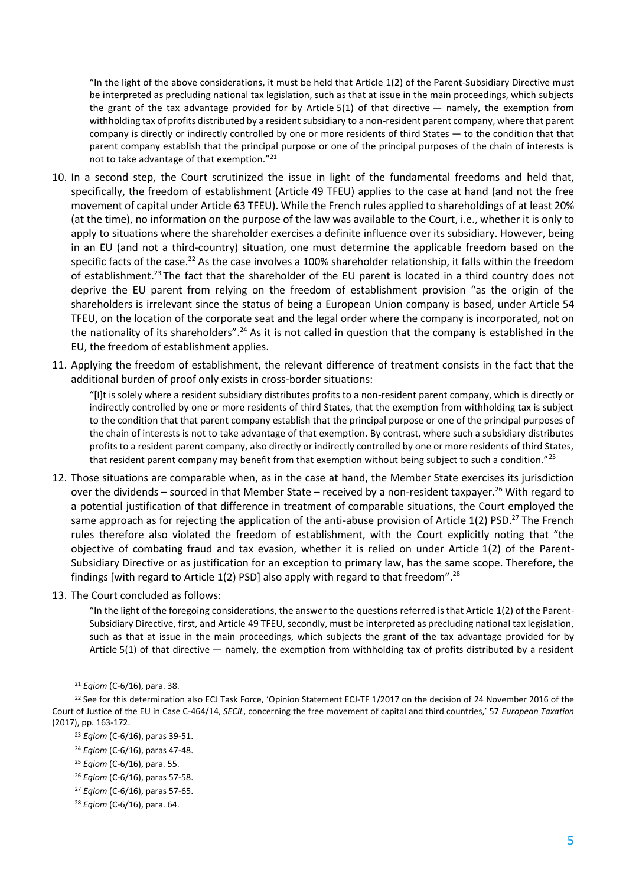"In the light of the above considerations, it must be held that Article 1(2) of the Parent-Subsidiary Directive must be interpreted as precluding national tax legislation, such as that at issue in the main proceedings, which subjects the grant of the tax advantage provided for by Article 5(1) of that directive — namely, the exemption from withholding tax of profits distributed by a resident subsidiary to a non-resident parent company, where that parent company is directly or indirectly controlled by one or more residents of third States — to the condition that that parent company establish that the principal purpose or one of the principal purposes of the chain of interests is not to take advantage of that exemption."<sup>21</sup>

- 10. In a second step, the Court scrutinized the issue in light of the fundamental freedoms and held that, specifically, the freedom of establishment (Article 49 TFEU) applies to the case at hand (and not the free movement of capital under Article 63 TFEU). While the French rules applied to shareholdings of at least 20% (at the time), no information on the purpose of the law was available to the Court, i.e., whether it is only to apply to situations where the shareholder exercises a definite influence over its subsidiary. However, being in an EU (and not a third-country) situation, one must determine the applicable freedom based on the specific facts of the case.<sup>22</sup> As the case involves a 100% shareholder relationship, it falls within the freedom of establishment.<sup>23</sup> The fact that the shareholder of the EU parent is located in a third country does not deprive the EU parent from relying on the freedom of establishment provision "as the origin of the shareholders is irrelevant since the status of being a European Union company is based, under Article 54 TFEU, on the location of the corporate seat and the legal order where the company is incorporated, not on the nationality of its shareholders".<sup>24</sup> As it is not called in question that the company is established in the EU, the freedom of establishment applies.
- 11. Applying the freedom of establishment, the relevant difference of treatment consists in the fact that the additional burden of proof only exists in cross-border situations:

"[I]t is solely where a resident subsidiary distributes profits to a non-resident parent company, which is directly or indirectly controlled by one or more residents of third States, that the exemption from withholding tax is subject to the condition that that parent company establish that the principal purpose or one of the principal purposes of the chain of interests is not to take advantage of that exemption. By contrast, where such a subsidiary distributes profits to a resident parent company, also directly or indirectly controlled by one or more residents of third States, that resident parent company may benefit from that exemption without being subject to such a condition."<sup>25</sup>

- 12. Those situations are comparable when, as in the case at hand, the Member State exercises its jurisdiction over the dividends – sourced in that Member State – received by a non-resident taxpayer.<sup>26</sup> With regard to a potential justification of that difference in treatment of comparable situations, the Court employed the same approach as for rejecting the application of the anti-abuse provision of Article  $1(2)$  PSD.<sup>27</sup> The French rules therefore also violated the freedom of establishment, with the Court explicitly noting that "the objective of combating fraud and tax evasion, whether it is relied on under Article 1(2) of the Parent-Subsidiary Directive or as justification for an exception to primary law, has the same scope. Therefore, the findings [with regard to Article 1(2) PSD] also apply with regard to that freedom".<sup>28</sup>
- 13. The Court concluded as follows:

"In the light of the foregoing considerations, the answer to the questions referred is that Article 1(2) of the Parent-Subsidiary Directive, first, and Article 49 TFEU, secondly, must be interpreted as precluding national tax legislation, such as that at issue in the main proceedings, which subjects the grant of the tax advantage provided for by Article 5(1) of that directive — namely, the exemption from withholding tax of profits distributed by a resident

<sup>21</sup> *Eqiom* (C-6/16), para. 38.

<sup>&</sup>lt;sup>22</sup> See for this determination also ECJ Task Force, 'Opinion Statement ECJ-TF 1/2017 on the decision of 24 November 2016 of the Court of Justice of the EU in Case C-464/14, *SECIL*, concerning the free movement of capital and third countries,' 57 *European Taxation* (2017), pp. 163-172.

<sup>23</sup> *Eqiom* (C-6/16), paras 39-51.

<sup>24</sup> *Eqiom* (C-6/16), paras 47-48.

<sup>25</sup> *Eqiom* (C-6/16), para. 55.

<sup>26</sup> *Eqiom* (C-6/16), paras 57-58.

<sup>27</sup> *Eqiom* (C-6/16), paras 57-65.

<sup>28</sup> *Eqiom* (C-6/16), para. 64.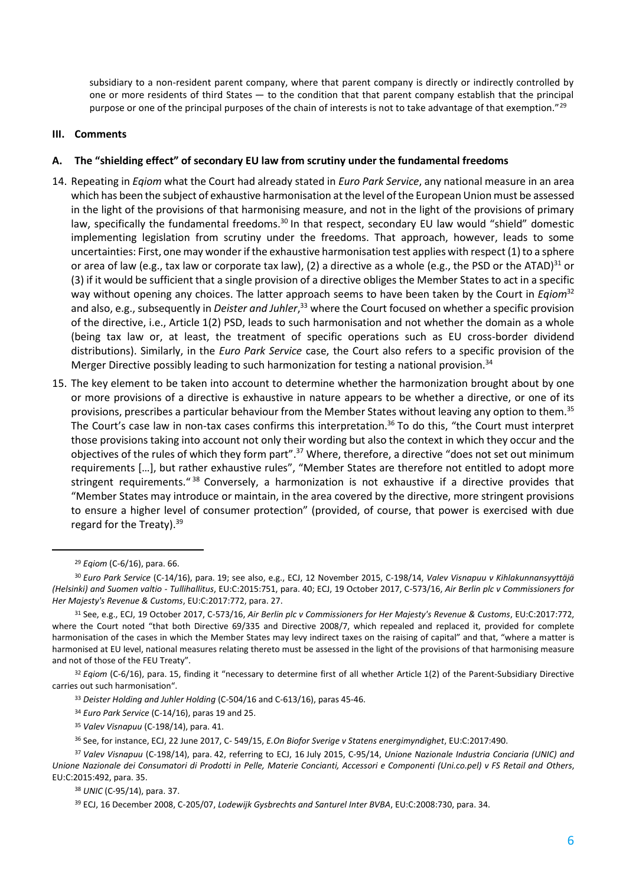subsidiary to a non-resident parent company, where that parent company is directly or indirectly controlled by one or more residents of third States — to the condition that that parent company establish that the principal purpose or one of the principal purposes of the chain of interests is not to take advantage of that exemption."<sup>29</sup>

### **III. Comments**

### **A. The "shielding effect" of secondary EU law from scrutiny under the fundamental freedoms**

- 14. Repeating in *Eqiom* what the Court had already stated in *Euro Park Service*, any national measure in an area which has been the subject of exhaustive harmonisation at the level of the European Union must be assessed in the light of the provisions of that harmonising measure, and not in the light of the provisions of primary law, specifically the fundamental freedoms.<sup>30</sup> In that respect, secondary EU law would "shield" domestic implementing legislation from scrutiny under the freedoms. That approach, however, leads to some uncertainties: First, one may wonder if the exhaustive harmonisation test applies with respect (1) to a sphere or area of law (e.g., tax law or corporate tax law), (2) a directive as a whole (e.g., the PSD or the ATAD)<sup>31</sup> or (3) if it would be sufficient that a single provision of a directive obliges the Member States to act in a specific way without opening any choices. The latter approach seems to have been taken by the Court in *Eqiom*<sup>32</sup> and also, e.g., subsequently in *Deister and Juhler*, <sup>33</sup> where the Court focused on whether a specific provision of the directive, i.e., Article 1(2) PSD, leads to such harmonisation and not whether the domain as a whole (being tax law or, at least, the treatment of specific operations such as EU cross-border dividend distributions). Similarly, in the *Euro Park Service* case, the Court also refers to a specific provision of the Merger Directive possibly leading to such harmonization for testing a national provision.<sup>34</sup>
- 15. The key element to be taken into account to determine whether the harmonization brought about by one or more provisions of a directive is exhaustive in nature appears to be whether a directive, or one of its provisions, prescribes a particular behaviour from the Member States without leaving any option to them.<sup>35</sup> The Court's case law in non-tax cases confirms this interpretation.<sup>36</sup> To do this, "the Court must interpret those provisions taking into account not only their wording but also the context in which they occur and the objectives of the rules of which they form part".<sup>37</sup> Where, therefore, a directive "does not set out minimum requirements […], but rather exhaustive rules", "Member States are therefore not entitled to adopt more stringent requirements."<sup>38</sup> Conversely, a harmonization is not exhaustive if a directive provides that "Member States may introduce or maintain, in the area covered by the directive, more stringent provisions to ensure a higher level of consumer protection" (provided, of course, that power is exercised with due regard for the Treaty). $39$

l

<sup>35</sup> *Valev Visnapuu* (C-198/14), para. 41.

<sup>29</sup> *Eqiom* (C-6/16), para. 66.

<sup>30</sup> *Euro Park Service* (C-14/16), para. 19; see also, e.g., ECJ, 12 November 2015, C-198/14, *Valev Visnapuu v Kihlakunnansyyttäjä (Helsinki) and Suomen valtio - Tullihallitus*, EU:C:2015:751, para. 40; ECJ, 19 October 2017, C-573/16, *Air Berlin plc v Commissioners for Her Majesty's Revenue & Customs*, EU:C:2017:772, para. 27.

<sup>31</sup> See, e.g., ECJ, 19 October 2017, C-573/16, *Air Berlin plc v Commissioners for Her Majesty's Revenue & Customs*, EU:C:2017:772, where the Court noted "that both Directive 69/335 and Directive 2008/7, which repealed and replaced it, provided for complete harmonisation of the cases in which the Member States may levy indirect taxes on the raising of capital" and that, "where a matter is harmonised at EU level, national measures relating thereto must be assessed in the light of the provisions of that harmonising measure and not of those of the FEU Treaty".

<sup>&</sup>lt;sup>32</sup> Eqiom (C-6/16), para. 15, finding it "necessary to determine first of all whether Article 1(2) of the Parent-Subsidiary Directive carries out such harmonisation".

<sup>33</sup> *Deister Holding and Juhler Holding* (C-504/16 and C-613/16), paras 45-46.

<sup>34</sup> *Euro Park Service* (C-14/16), paras 19 and 25.

<sup>36</sup> See, for instance, ECJ, 22 June 2017, C- 549/15, *E.On Biofor Sverige v Statens energimyndighet*, EU:C:2017:490.

<sup>37</sup> *Valev Visnapuu* (C-198/14), para. 42, referring to ECJ, 16 July 2015, C-95/14, *Unione Nazionale Industria Conciaria (UNIC) and Unione Nazionale dei Consumatori di Prodotti in Pelle, Materie Concianti, Accessori e Componenti (Uni.co.pel) v FS Retail and Others*, EU:C:2015:492, para. 35.

<sup>38</sup> *UNIC* (C-95/14), para. 37.

<sup>39</sup> ECJ, 16 December 2008, C-205/07, *Lodewijk Gysbrechts and Santurel Inter BVBA*, EU:C:2008:730, para. 34.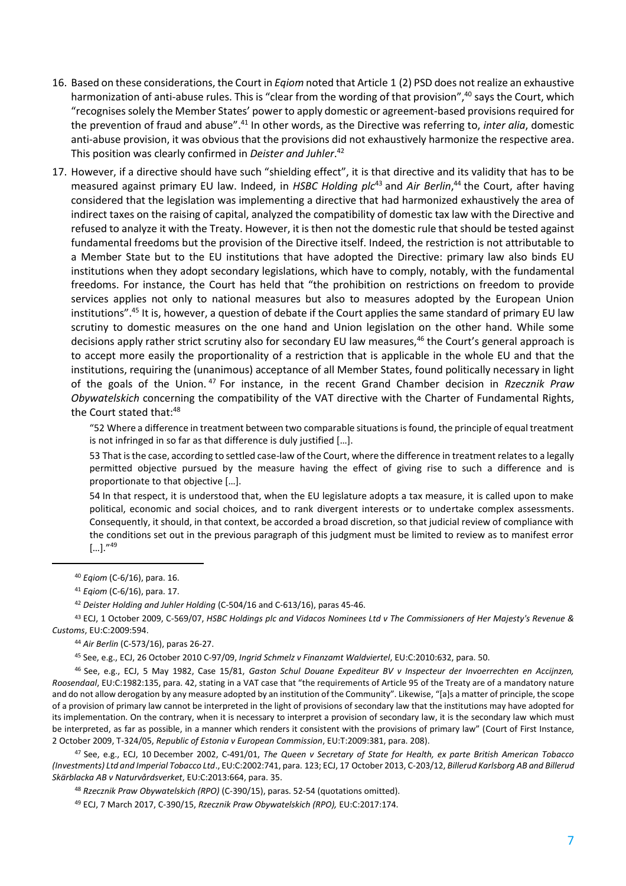- 16. Based on these considerations, the Court in *Eqiom* noted that Article 1 (2) PSD does not realize an exhaustive harmonization of anti-abuse rules. This is "clear from the wording of that provision",<sup>40</sup> says the Court, which "recognises solely the Member States' power to apply domestic or agreement-based provisions required for the prevention of fraud and abuse".<sup>41</sup> In other words, as the Directive was referring to, *inter alia*, domestic anti-abuse provision, it was obvious that the provisions did not exhaustively harmonize the respective area. This position was clearly confirmed in *Deister and Juhler*. 42
- 17. However, if a directive should have such "shielding effect", it is that directive and its validity that has to be measured against primary EU law. Indeed, in *HSBC Holding plc*<sup>43</sup> and *Air Berlin*, <sup>44</sup> the Court, after having considered that the legislation was implementing a directive that had harmonized exhaustively the area of indirect taxes on the raising of capital, analyzed the compatibility of domestic tax law with the Directive and refused to analyze it with the Treaty. However, it is then not the domestic rule that should be tested against fundamental freedoms but the provision of the Directive itself. Indeed, the restriction is not attributable to a Member State but to the EU institutions that have adopted the Directive: primary law also binds EU institutions when they adopt secondary legislations, which have to comply, notably, with the fundamental freedoms. For instance, the Court has held that "the prohibition on restrictions on freedom to provide services applies not only to national measures but also to measures adopted by the European Union institutions".<sup>45</sup> It is, however, a question of debate if the Court applies the same standard of primary EU law scrutiny to domestic measures on the one hand and Union legislation on the other hand. While some decisions apply rather strict scrutiny also for secondary EU law measures,<sup>46</sup> the Court's general approach is to accept more easily the proportionality of a restriction that is applicable in the whole EU and that the institutions, requiring the (unanimous) acceptance of all Member States, found politically necessary in light of the goals of the Union. <sup>47</sup> For instance, in the recent Grand Chamber decision in *Rzecznik Praw Obywatelskich* concerning the compatibility of the VAT directive with the Charter of Fundamental Rights, the Court stated that:<sup>48</sup>

"52 Where a difference in treatment between two comparable situations is found, the principle of equal treatment is not infringed in so far as that difference is duly justified […].

53 That is the case, according to settled case-law of the Court, where the difference in treatment relates to a legally permitted objective pursued by the measure having the effect of giving rise to such a difference and is proportionate to that objective […].

54 In that respect, it is understood that, when the EU legislature adopts a tax measure, it is called upon to make political, economic and social choices, and to rank divergent interests or to undertake complex assessments. Consequently, it should, in that context, be accorded a broad discretion, so that judicial review of compliance with the conditions set out in the previous paragraph of this judgment must be limited to review as to manifest error  $[...]$ ."<sup>49</sup>

l

<sup>43</sup> ECJ, 1 October 2009, C-569/07, *HSBC Holdings plc and Vidacos Nominees Ltd v The Commissioners of Her Majesty's Revenue & Customs*, EU:C:2009:594.

<sup>44</sup> *Air Berlin* (C-573/16), paras 26-27.

<sup>45</sup> See, e.g., ECJ, 26 October 2010 C-97/09, *Ingrid Schmelz v Finanzamt Waldviertel*, EU:C:2010:632, para. 50.

<sup>46</sup> See, e.g., ECJ, 5 May 1982, Case 15/81, *Gaston Schul Douane Expediteur BV v Inspecteur der Invoerrechten en Accijnzen, Roosendaal*, EU:C:1982:135, para. 42, stating in a VAT case that "the requirements of Article 95 of the Treaty are of a mandatory nature and do not allow derogation by any measure adopted by an institution of the Community". Likewise, "[a]s a matter of principle, the scope of a provision of primary law cannot be interpreted in the light of provisions of secondary law that the institutions may have adopted for its implementation. On the contrary, when it is necessary to interpret a provision of secondary law, it is the secondary law which must be interpreted, as far as possible, in a manner which renders it consistent with the provisions of primary law" (Court of First Instance, 2 October 2009, T-324/05, *Republic of Estonia v European Commission*, EU:T:2009:381, para. 208).

<sup>47</sup> See, e.g., ECJ, 10 December 2002, C-491/01, *The Queen v Secretary of State for Health, ex parte British American Tobacco (Investments) Ltd and Imperial Tobacco Ltd*., EU:C:2002:741, para. 123; ECJ, 17 October 2013, C-203/12, *Billerud Karlsborg AB and Billerud Skärblacka AB v Naturvårdsverket*, EU:C:2013:664, para. 35.

<sup>48</sup> *Rzecznik Praw Obywatelskich (RPO)* (C-390/15), paras. 52-54 (quotations omitted).

<sup>49</sup> ECJ, 7 March 2017, C-390/15, *Rzecznik Praw Obywatelskich (RPO),* EU:C:2017:174.

<sup>40</sup> *Eqiom* (C-6/16), para. 16.

<sup>41</sup> *Eqiom* (C-6/16), para. 17.

<sup>42</sup> *Deister Holding and Juhler Holding* (C-504/16 and C-613/16), paras 45-46.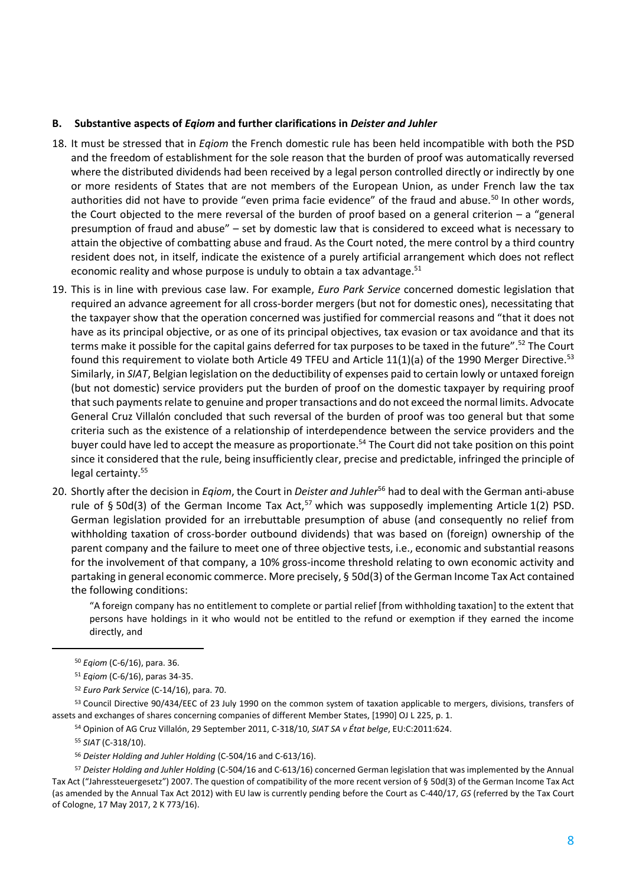# **B. Substantive aspects of** *Eqiom* **and further clarifications in** *Deister and Juhler*

- 18. It must be stressed that in *Eqiom* the French domestic rule has been held incompatible with both the PSD and the freedom of establishment for the sole reason that the burden of proof was automatically reversed where the distributed dividends had been received by a legal person controlled directly or indirectly by one or more residents of States that are not members of the European Union, as under French law the tax authorities did not have to provide "even prima facie evidence" of the fraud and abuse.<sup>50</sup> In other words, the Court objected to the mere reversal of the burden of proof based on a general criterion – a "general presumption of fraud and abuse" – set by domestic law that is considered to exceed what is necessary to attain the objective of combatting abuse and fraud. As the Court noted, the mere control by a third country resident does not, in itself, indicate the existence of a purely artificial arrangement which does not reflect economic reality and whose purpose is unduly to obtain a tax advantage. $51$
- 19. This is in line with previous case law. For example, *Euro Park Service* concerned domestic legislation that required an advance agreement for all cross-border mergers (but not for domestic ones), necessitating that the taxpayer show that the operation concerned was justified for commercial reasons and "that it does not have as its principal objective, or as one of its principal objectives, tax evasion or tax avoidance and that its terms make it possible for the capital gains deferred for tax purposes to be taxed in the future".<sup>52</sup> The Court found this requirement to violate both Article 49 TFEU and Article 11(1)(a) of the 1990 Merger Directive.<sup>53</sup> Similarly, in *SIAT*, Belgian legislation on the deductibility of expenses paid to certain lowly or untaxed foreign (but not domestic) service providers put the burden of proof on the domestic taxpayer by requiring proof that such payments relate to genuine and proper transactions and do not exceed the normal limits. Advocate General Cruz Villalón concluded that such reversal of the burden of proof was too general but that some criteria such as the existence of a relationship of interdependence between the service providers and the buyer could have led to accept the measure as proportionate.<sup>54</sup> The Court did not take position on this point since it considered that the rule, being insufficiently clear, precise and predictable, infringed the principle of legal certainty.<sup>55</sup>
- 20. Shortly after the decision in *Eqiom*, the Court in *Deister and Juhler*<sup>56</sup> had to deal with the German anti-abuse rule of § 50d(3) of the German Income Tax Act,<sup>57</sup> which was supposedly implementing Article 1(2) PSD. German legislation provided for an irrebuttable presumption of abuse (and consequently no relief from withholding taxation of cross-border outbound dividends) that was based on (foreign) ownership of the parent company and the failure to meet one of three objective tests, i.e., economic and substantial reasons for the involvement of that company, a 10% gross-income threshold relating to own economic activity and partaking in general economic commerce. More precisely, § 50d(3) of the German Income Tax Act contained the following conditions:

"A foreign company has no entitlement to complete or partial relief [from withholding taxation] to the extent that persons have holdings in it who would not be entitled to the refund or exemption if they earned the income directly, and

<sup>53</sup> Council Directive 90/434/EEC of 23 July 1990 on the common system of taxation applicable to mergers, divisions, transfers of assets and exchanges of shares concerning companies of different Member States, [1990] OJ L 225, p. 1.

 $\overline{a}$ 

<sup>50</sup> *Eqiom* (C-6/16), para. 36.

<sup>51</sup> *Eqiom* (C-6/16), paras 34-35.

<sup>52</sup> *Euro Park Service* (C-14/16), para. 70.

<sup>54</sup> Opinion of AG Cruz Villalón, 29 September 2011, C-318/10, *SIAT SA v État belge*, EU:C:2011:624.

<sup>55</sup> *SIAT* (C-318/10).

<sup>56</sup> *Deister Holding and Juhler Holding* (C-504/16 and C-613/16).

<sup>57</sup> *Deister Holding and Juhler Holding* (C-504/16 and C-613/16) concerned German legislation that was implemented by the Annual Tax Act ("Jahressteuergesetz") 2007. The question of compatibility of the more recent version of § 50d(3) of the German Income Tax Act (as amended by the Annual Tax Act 2012) with EU law is currently pending before the Court as C-440/17, *GS* (referred by the Tax Court of Cologne, 17 May 2017, 2 K 773/16).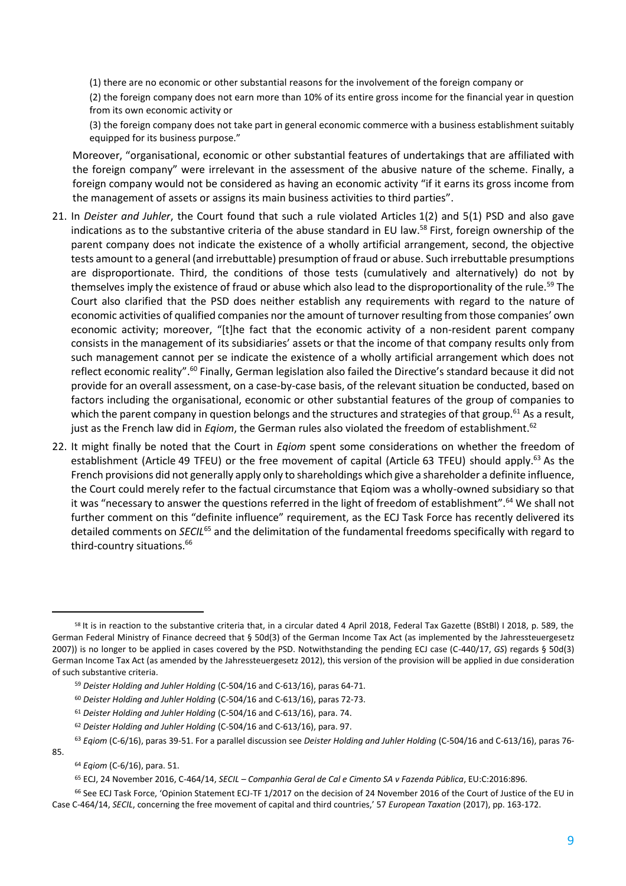(1) there are no economic or other substantial reasons for the involvement of the foreign company or

(2) the foreign company does not earn more than 10% of its entire gross income for the financial year in question from its own economic activity or

(3) the foreign company does not take part in general economic commerce with a business establishment suitably equipped for its business purpose."

Moreover, "organisational, economic or other substantial features of undertakings that are affiliated with the foreign company" were irrelevant in the assessment of the abusive nature of the scheme. Finally, a foreign company would not be considered as having an economic activity "if it earns its gross income from the management of assets or assigns its main business activities to third parties".

- 21. In *Deister and Juhler*, the Court found that such a rule violated Articles 1(2) and 5(1) PSD and also gave indications as to the substantive criteria of the abuse standard in EU law.<sup>58</sup> First, foreign ownership of the parent company does not indicate the existence of a wholly artificial arrangement, second, the objective tests amount to a general (and irrebuttable) presumption of fraud or abuse. Such irrebuttable presumptions are disproportionate. Third, the conditions of those tests (cumulatively and alternatively) do not by themselves imply the existence of fraud or abuse which also lead to the disproportionality of the rule.<sup>59</sup> The Court also clarified that the PSD does neither establish any requirements with regard to the nature of economic activities of qualified companies nor the amount of turnover resulting from those companies' own economic activity; moreover, "[t]he fact that the economic activity of a non-resident parent company consists in the management of its subsidiaries' assets or that the income of that company results only from such management cannot per se indicate the existence of a wholly artificial arrangement which does not reflect economic reality".<sup>60</sup> Finally, German legislation also failed the Directive's standard because it did not provide for an overall assessment, on a case-by-case basis, of the relevant situation be conducted, based on factors including the organisational, economic or other substantial features of the group of companies to which the parent company in question belongs and the structures and strategies of that group.<sup>61</sup> As a result, just as the French law did in *Eqiom*, the German rules also violated the freedom of establishment.<sup>62</sup>
- 22. It might finally be noted that the Court in *Eqiom* spent some considerations on whether the freedom of establishment (Article 49 TFEU) or the free movement of capital (Article 63 TFEU) should apply.<sup>63</sup> As the French provisions did not generally apply only to shareholdings which give a shareholder a definite influence, the Court could merely refer to the factual circumstance that Eqiom was a wholly-owned subsidiary so that it was "necessary to answer the questions referred in the light of freedom of establishment".<sup>64</sup> We shall not further comment on this "definite influence" requirement, as the ECJ Task Force has recently delivered its detailed comments on *SECIL*<sup>65</sup> and the delimitation of the fundamental freedoms specifically with regard to third-country situations.<sup>66</sup>

<sup>62</sup> *Deister Holding and Juhler Holding* (C-504/16 and C-613/16), para. 97.

<sup>58</sup> It is in reaction to the substantive criteria that, in a circular dated 4 April 2018, Federal Tax Gazette (BStBl) I 2018, p. 589, the German Federal Ministry of Finance decreed that § 50d(3) of the German Income Tax Act (as implemented by the Jahressteuergesetz 2007)) is no longer to be applied in cases covered by the PSD. Notwithstanding the pending ECJ case (C-440/17, *GS*) regards § 50d(3) German Income Tax Act (as amended by the Jahressteuergesetz 2012), this version of the provision will be applied in due consideration of such substantive criteria.

<sup>59</sup> *Deister Holding and Juhler Holding* (C-504/16 and C-613/16), paras 64-71.

<sup>60</sup> *Deister Holding and Juhler Holding* (C-504/16 and C-613/16), paras 72-73.

<sup>61</sup> *Deister Holding and Juhler Holding* (C-504/16 and C-613/16), para. 74.

<sup>63</sup> *Eqiom* (C-6/16), paras 39-51. For a parallel discussion see *Deister Holding and Juhler Holding* (C-504/16 and C-613/16), paras 76- 85.

<sup>64</sup> *Eqiom* (C-6/16), para. 51.

<sup>65</sup> ECJ, 24 November 2016, C-464/14, *SECIL – Companhia Geral de Cal e Cimento SA v Fazenda Pública*, EU:C:2016:896.

<sup>66</sup> See ECJ Task Force, 'Opinion Statement ECJ-TF 1/2017 on the decision of 24 November 2016 of the Court of Justice of the EU in Case C-464/14, *SECIL*, concerning the free movement of capital and third countries,' 57 *European Taxation* (2017), pp. 163-172.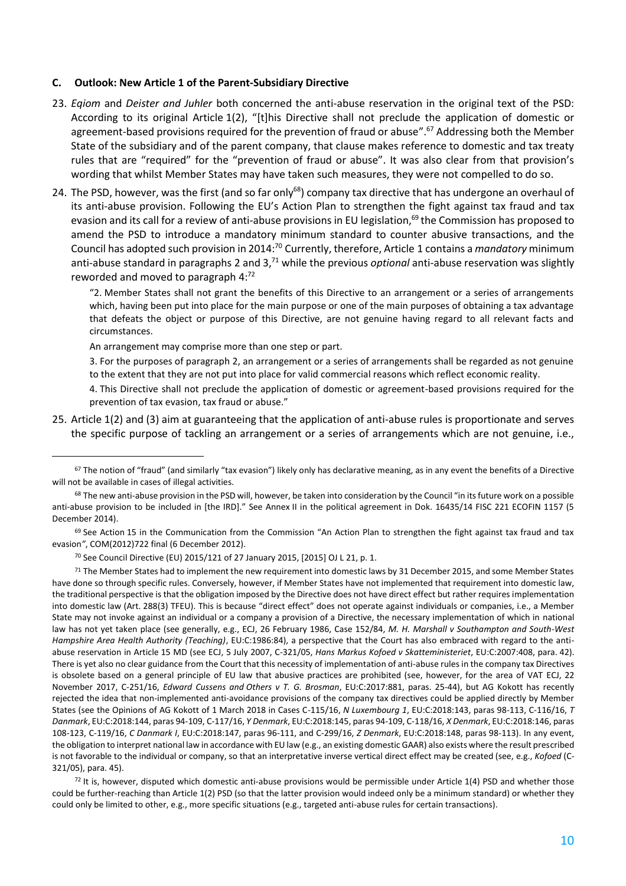#### **C. Outlook: New Article 1 of the Parent-Subsidiary Directive**

- 23. *Eqiom* and *Deister and Juhler* both concerned the anti-abuse reservation in the original text of the PSD: According to its original Article 1(2), "[t]his Directive shall not preclude the application of domestic or agreement-based provisions required for the prevention of fraud or abuse".<sup>67</sup> Addressing both the Member State of the subsidiary and of the parent company, that clause makes reference to domestic and tax treaty rules that are "required" for the "prevention of fraud or abuse". It was also clear from that provision's wording that whilst Member States may have taken such measures, they were not compelled to do so.
- 24. The PSD, however, was the first (and so far only<sup>68</sup>) company tax directive that has undergone an overhaul of its anti-abuse provision. Following the EU's Action Plan to strengthen the fight against tax fraud and tax evasion and its call for a review of anti-abuse provisions in EU legislation,<sup>69</sup> the Commission has proposed to amend the PSD to introduce a mandatory minimum standard to counter abusive transactions, and the Council has adopted such provision in 2014:<sup>70</sup> Currently, therefore, Article 1 contains a *mandatory* minimum anti-abuse standard in paragraphs 2 and 3,<sup>71</sup> while the previous *optional* anti-abuse reservation was slightly reworded and moved to paragraph 4:<sup>72</sup>

"2. Member States shall not grant the benefits of this Directive to an arrangement or a series of arrangements which, having been put into place for the main purpose or one of the main purposes of obtaining a tax advantage that defeats the object or purpose of this Directive, are not genuine having regard to all relevant facts and circumstances.

An arrangement may comprise more than one step or part.

l

3. For the purposes of paragraph 2, an arrangement or a series of arrangements shall be regarded as not genuine to the extent that they are not put into place for valid commercial reasons which reflect economic reality.

4. This Directive shall not preclude the application of domestic or agreement-based provisions required for the prevention of tax evasion, tax fraud or abuse."

25. Article 1(2) and (3) aim at guaranteeing that the application of anti-abuse rules is proportionate and serves the specific purpose of tackling an arrangement or a series of arrangements which are not genuine, i.e.,

 $72$  It is, however, disputed which domestic anti-abuse provisions would be permissible under Article 1(4) PSD and whether those could be further-reaching than Article 1(2) PSD (so that the latter provision would indeed only be a minimum standard) or whether they could only be limited to other, e.g., more specific situations (e.g., targeted anti-abuse rules for certain transactions).

<sup>67</sup> The notion of "fraud" (and similarly "tax evasion") likely only has declarative meaning, as in any event the benefits of a Directive will not be available in cases of illegal activities.

<sup>&</sup>lt;sup>68</sup> The new anti-abuse provision in the PSD will, however, be taken into consideration by the Council "in its future work on a possible anti-abuse provision to be included in [the IRD]." See Annex II in the political agreement in Dok. 16435/14 FISC 221 ECOFIN 1157 (5 December 2014).

 $69$  See Action 15 in the Communication from the Commission "An Action Plan to strengthen the fight against tax fraud and tax evasion*"*, COM(2012)722 final (6 December 2012).

<sup>70</sup> See Council Directive (EU) 2015/121 of 27 January 2015, [2015] OJ L 21, p. 1.

<sup>&</sup>lt;sup>71</sup> The Member States had to implement the new requirement into domestic laws by 31 December 2015, and some Member States have done so through specific rules. Conversely, however, if Member States have not implemented that requirement into domestic law, the traditional perspective is that the obligation imposed by the Directive does not have direct effect but rather requires implementation into domestic law (Art. 288(3) TFEU). This is because "direct effect" does not operate against individuals or companies, i.e., a Member State may not invoke against an individual or a company a provision of a Directive, the necessary implementation of which in national law has not yet taken place (see generally, e.g., ECJ, 26 February 1986, Case 152/84, *M. H. Marshall v Southampton and South-West Hampshire Area Health Authority (Teaching)*, EU:C:1986:84), a perspective that the Court has also embraced with regard to the antiabuse reservation in Article 15 MD (see ECJ, 5 July 2007, C-321/05, *Hans Markus Kofoed v Skatteministeriet*, EU:C:2007:408, para. 42). There is yet also no clear guidance from the Court that this necessity of implementation of anti-abuse rules in the company tax Directives is obsolete based on a general principle of EU law that abusive practices are prohibited (see, however, for the area of VAT ECJ, 22 November 2017, C-251/16, *Edward Cussens and Others v T. G. Brosman*, EU:C:2017:881, paras. 25-44), but AG Kokott has recently rejected the idea that non-implemented anti-avoidance provisions of the company tax directives could be applied directly by Member States (see the Opinions of AG Kokott of 1 March 2018 in Cases C-115/16, *N Luxembourg 1*, EU:C:2018:143, paras 98-113, C-116/16, *T Danmark*, EU:C:2018:144, paras 94-109, C-117/16, *Y Denmark*, EU:C:2018:145, paras 94-109, C-118/16, *X Denmark*, EU:C:2018:146, paras 108-123, C-119/16, *C Danmark I*, EU:C:2018:147, paras 96-111, and C-299/16, *Z Denmark*, EU:C:2018:148, paras 98-113). In any event, the obligation to interpret national law in accordance with EU law (e.g., an existing domestic GAAR) also exists where the result prescribed is not favorable to the individual or company, so that an interpretative inverse vertical direct effect may be created (see, e.g., *Kofoed* (C-321/05), para. 45).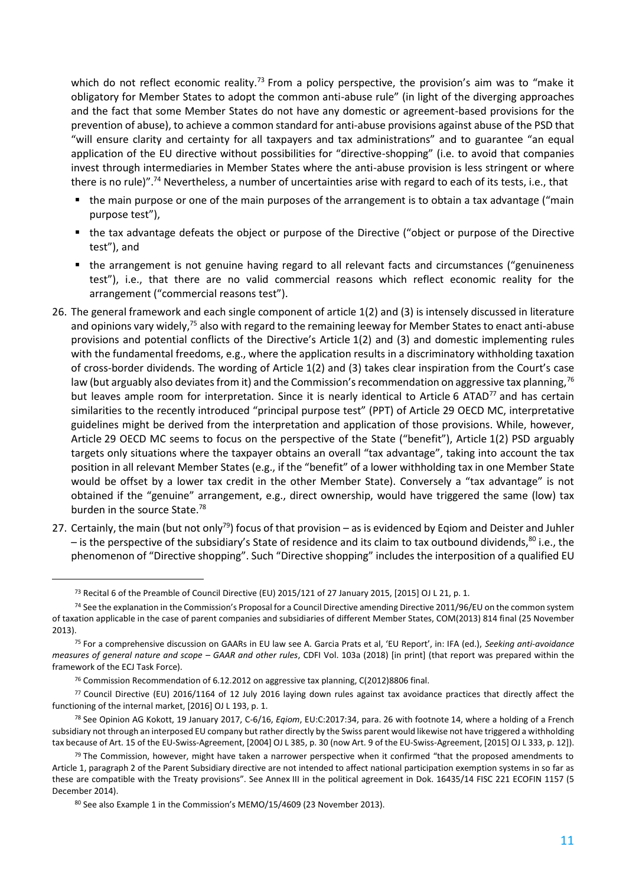which do not reflect economic reality.<sup>73</sup> From a policy perspective, the provision's aim was to "make it obligatory for Member States to adopt the common anti-abuse rule" (in light of the diverging approaches and the fact that some Member States do not have any domestic or agreement-based provisions for the prevention of abuse), to achieve a common standard for anti-abuse provisions against abuse of the PSD that "will ensure clarity and certainty for all taxpayers and tax administrations" and to guarantee "an equal application of the EU directive without possibilities for "directive-shopping" (i.e. to avoid that companies invest through intermediaries in Member States where the anti-abuse provision is less stringent or where there is no rule)".<sup>74</sup> Nevertheless, a number of uncertainties arise with regard to each of its tests, i.e., that

- the main purpose or one of the main purposes of the arrangement is to obtain a tax advantage ("main purpose test"),
- the tax advantage defeats the object or purpose of the Directive ("object or purpose of the Directive test"), and
- the arrangement is not genuine having regard to all relevant facts and circumstances ("genuineness test"), i.e., that there are no valid commercial reasons which reflect economic reality for the arrangement ("commercial reasons test").
- 26. The general framework and each single component of article 1(2) and (3) is intensely discussed in literature and opinions vary widely,<sup>75</sup> also with regard to the remaining leeway for Member States to enact anti-abuse provisions and potential conflicts of the Directive's Article 1(2) and (3) and domestic implementing rules with the fundamental freedoms, e.g., where the application results in a discriminatory withholding taxation of cross-border dividends. The wording of Article 1(2) and (3) takes clear inspiration from the Court's case law (but arguably also deviates from it) and the Commission's recommendation on aggressive tax planning,  $7^6$ but leaves ample room for interpretation. Since it is nearly identical to Article 6 ATAD<sup>77</sup> and has certain similarities to the recently introduced "principal purpose test" (PPT) of Article 29 OECD MC, interpretative guidelines might be derived from the interpretation and application of those provisions. While, however, Article 29 OECD MC seems to focus on the perspective of the State ("benefit"), Article 1(2) PSD arguably targets only situations where the taxpayer obtains an overall "tax advantage", taking into account the tax position in all relevant Member States (e.g., if the "benefit" of a lower withholding tax in one Member State would be offset by a lower tax credit in the other Member State). Conversely a "tax advantage" is not obtained if the "genuine" arrangement, e.g., direct ownership, would have triggered the same (low) tax burden in the source State.<sup>78</sup>
- 27. Certainly, the main (but not only<sup>79</sup>) focus of that provision as is evidenced by Eqiom and Deister and Juhler – is the perspective of the subsidiary's State of residence and its claim to tax outbound dividends,<sup>80</sup> i.e., the phenomenon of "Directive shopping". Such "Directive shopping" includes the interposition of a qualified EU

<sup>73</sup> Recital 6 of the Preamble of Council Directive (EU) 2015/121 of 27 January 2015, [2015] OJ L 21, p. 1.

<sup>74</sup> See the explanation in the Commission's Proposal for a Council Directive amending Directive 2011/96/EU on the common system of taxation applicable in the case of parent companies and subsidiaries of different Member States, COM(2013) 814 final (25 November 2013).

<sup>75</sup> For a comprehensive discussion on GAARs in EU law see A. Garcia Prats et al, 'EU Report', in: IFA (ed.), *Seeking anti-avoidance measures of general nature and scope – GAAR and other rules*, CDFI Vol. 103a (2018) [in print] (that report was prepared within the framework of the ECJ Task Force).

<sup>&</sup>lt;sup>76</sup> Commission Recommendation of 6.12.2012 on aggressive tax planning, C(2012)8806 final.

<sup>77</sup> Council Directive (EU) 2016/1164 of 12 July 2016 laying down rules against tax avoidance practices that directly affect the functioning of the internal market, [2016] OJ L 193, p. 1.

<sup>78</sup> See Opinion AG Kokott, 19 January 2017, C-6/16, *Eqiom*, EU:C:2017:34, para. 26 with footnote 14, where a holding of a French subsidiary not through an interposed EU company but rather directly by the Swiss parent would likewise not have triggered a withholding tax because of Art. 15 of the EU-Swiss-Agreement, [2004] OJ L 385, p. 30 (now Art. 9 of the EU-Swiss-Agreement, [2015] OJ L 333, p. 12]).

 $79$  The Commission, however, might have taken a narrower perspective when it confirmed "that the proposed amendments to Article 1, paragraph 2 of the Parent Subsidiary directive are not intended to affect national participation exemption systems in so far as these are compatible with the Treaty provisions". See Annex III in the political agreement in Dok. 16435/14 FISC 221 ECOFIN 1157 (5 December 2014).

<sup>80</sup> See also Example 1 in the Commission's MEMO/15/4609 (23 November 2013).